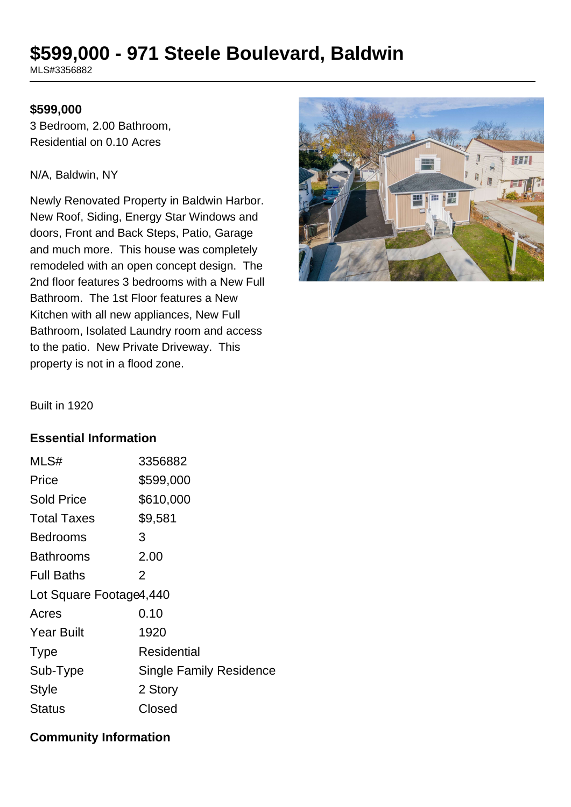# **\$599,000 - 971 Steele Boulevard, Baldwin**

MLS#3356882

#### **\$599,000**

3 Bedroom, 2.00 Bathroom, Residential on 0.10 Acres

#### N/A, Baldwin, NY

Newly Renovated Property in Baldwin Harbor. New Roof, Siding, Energy Star Windows and doors, Front and Back Steps, Patio, Garage and much more. This house was completely remodeled with an open concept design. The 2nd floor features 3 bedrooms with a New Full Bathroom. The 1st Floor features a New Kitchen with all new appliances, New Full Bathroom, Isolated Laundry room and access to the patio. New Private Driveway. This property is not in a flood zone.



Built in 1920

#### **Essential Information**

| MLS#                    | 3356882                        |  |
|-------------------------|--------------------------------|--|
| Price                   | \$599,000                      |  |
| <b>Sold Price</b>       | \$610,000                      |  |
| <b>Total Taxes</b>      | \$9,581                        |  |
| <b>Bedrooms</b>         | 3                              |  |
| <b>Bathrooms</b>        | 2.00                           |  |
| <b>Full Baths</b>       | 2                              |  |
| Lot Square Footage4,440 |                                |  |
| Acres                   | 0.10                           |  |
| <b>Year Built</b>       | 1920                           |  |
| <b>Type</b>             | Residential                    |  |
| Sub-Type                | <b>Single Family Residence</b> |  |
| <b>Style</b>            | 2 Story                        |  |
| <b>Status</b>           | Closed                         |  |

### **Community Information**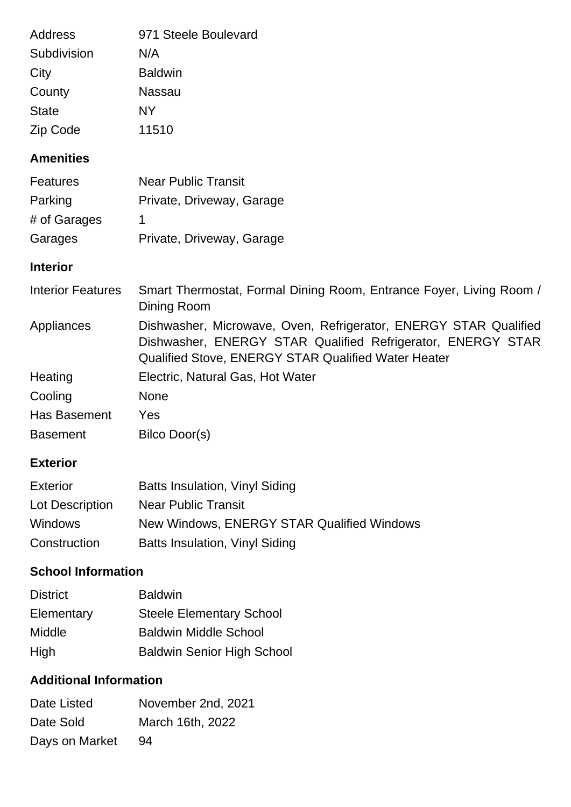| 971 Steele Boulevard |
|----------------------|
| N/A                  |
| <b>Baldwin</b>       |
| Nassau               |
| NY                   |
| 11510                |
|                      |

# **Amenities**

| <b>Features</b> | <b>Near Public Transit</b> |
|-----------------|----------------------------|
| Parking         | Private, Driveway, Garage  |
| # of Garages    |                            |
| Garages         | Private, Driveway, Garage  |

## **Interior**

| <b>Interior Features</b> | Smart Thermostat, Formal Dining Room, Entrance Foyer, Living Room /<br>Dining Room                                                                                                            |
|--------------------------|-----------------------------------------------------------------------------------------------------------------------------------------------------------------------------------------------|
| Appliances               | Dishwasher, Microwave, Oven, Refrigerator, ENERGY STAR Qualified<br>Dishwasher, ENERGY STAR Qualified Refrigerator, ENERGY STAR<br><b>Qualified Stove, ENERGY STAR Qualified Water Heater</b> |
| Heating                  | Electric, Natural Gas, Hot Water                                                                                                                                                              |
| Cooling                  | <b>None</b>                                                                                                                                                                                   |
| Has Basement             | Yes                                                                                                                                                                                           |
| <b>Basement</b>          | Bilco Door(s)                                                                                                                                                                                 |

## **Exterior**

| <b>Exterior</b> | Batts Insulation, Vinyl Siding             |
|-----------------|--------------------------------------------|
| Lot Description | Near Public Transit                        |
| <b>Windows</b>  | New Windows, ENERGY STAR Qualified Windows |
| Construction    | Batts Insulation, Vinyl Siding             |

# **School Information**

| <b>District</b> | <b>Baldwin</b>                    |
|-----------------|-----------------------------------|
| Elementary      | <b>Steele Elementary School</b>   |
| <b>Middle</b>   | <b>Baldwin Middle School</b>      |
| High            | <b>Baldwin Senior High School</b> |

# **Additional Information**

| Date Listed    | November 2nd, 2021 |
|----------------|--------------------|
| Date Sold      | March 16th, 2022   |
| Days on Market | 94                 |